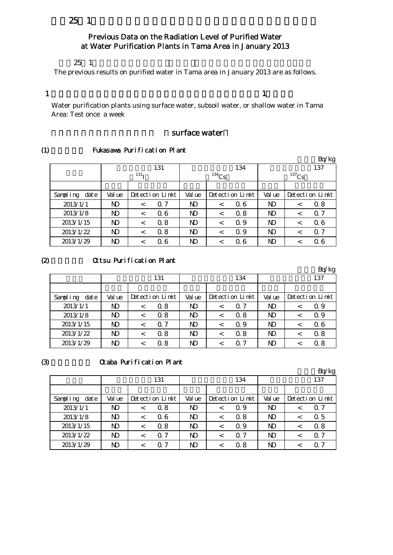## $25 \t1$

## Previous Data on the Radiation Level of Purified Water at Water Purification Plants in Tama Area in January 2013

#### $25 \t1$

The previous results on purified water in Tama area in January 2013 are as follows.

### 1

Water purification plants using surface water, subsoil water, or shallow water in Tama Area: Test once a week

## surface water

#### (1) Fukasawa Purification Plant

|                  |                |                  |                 |                |            |                 |                |          | Bq/kg           |  |
|------------------|----------------|------------------|-----------------|----------------|------------|-----------------|----------------|----------|-----------------|--|
|                  |                |                  | 131             |                |            | 134             |                |          | 137             |  |
|                  |                | 131 <sub>T</sub> |                 |                | $^{134}Cs$ |                 |                | $137$ Cs |                 |  |
|                  |                |                  |                 |                |            |                 |                |          |                 |  |
| Sampling<br>date | Val ue         |                  | Detection Limit | Val ue         |            | Detection Limit | Val ue         |          | Detection Limit |  |
| 2013/1/1         | ND             | $\,<\,$          | $\Omega$ 7      | N <sub>D</sub> | $\,<\,$    | 0.6             | ND             | ≺        | 0.8             |  |
| 2013/1/8         | ND             | $\,<\,$          | 06              | N <sub>D</sub> | $\,<\,$    | 0.8             | ND             |          | 0.7             |  |
| 2013/1/15        | N <sub>D</sub> | $\,<\,$          | 0.8             | ND             | $\,<\,$    | Q 9             | N <sub>D</sub> |          | 06              |  |
| 2013/1/22        | ND             | $\,<\,$          | 0.8             | ND             | <          | Q 9             | ND             |          | $\Omega$ 7      |  |
| 2013/1/29        | ND             | $\,<\,$          | Q 6             | ND             | ≺          | 0.6             | ND             |          | Q 6             |  |

#### (2) Ottsu Purification Plant

|                  |        |   |                 |                |         |                 |        | Bq/kg           |
|------------------|--------|---|-----------------|----------------|---------|-----------------|--------|-----------------|
|                  |        |   | 131             |                |         | 134             |        | 137             |
|                  |        |   |                 |                |         |                 |        |                 |
| Sampling<br>date | Val ue |   | Detection Limit | Val ue         |         | Detection Limit | Val ue | Detection Limit |
| 2013/1/1         | ND     | < | 0.8             | N <sub>D</sub> | $\,<\,$ | 0.7             | ND     | Q 9             |
| 2013/1/8         | ND     | < | 0.8             | N <sub>D</sub> | $\,<\,$ | 0.8             | ND     | Q 9             |
| 2013/1/15        | N)     | < | 07              | N <sub>D</sub> |         | Q 9             | ND     | 06              |
| 2013/1/22        | ND     | < | 0.8             | N <sub>D</sub> | $\,<\,$ | 0.8             | ND     | 0.8             |
| 2013/1/29        | ND     |   | Q 8             | ND             |         | $\Omega$ 7      | ND     | 0.8             |

### $(3)$   $\alpha$  aba Purification Plant

|                  |        |         |                 |                |         |                 |        |     | Bq/kg           |  |
|------------------|--------|---------|-----------------|----------------|---------|-----------------|--------|-----|-----------------|--|
|                  |        |         | 131             |                | 134     |                 |        | 137 |                 |  |
|                  |        |         |                 |                |         |                 |        |     |                 |  |
| Sampling<br>date | Val ue |         | Detection Limit | Value          |         | Detection Limit | Val ue |     | Detection Limit |  |
| 2013/1/1         | ND     | $\,<\,$ | 0.8             | N <sub>D</sub> | $\,<\,$ | Q 9             | ND     |     | 0.7             |  |
| 2013/1/8         | ND     | $\,<\,$ | 06              | N <sub>D</sub> | $\,<\,$ | 0.8             | ND     |     | 0.5             |  |
| 2013/1/15        | ND     | $\,<\,$ | 0.8             | N)             | $\,<\,$ | Q 9             | ND     |     | 0.8             |  |
| 2013/1/22        | ND     | $\,<\,$ | $\Omega$ 7      | N <sub>D</sub> | $\,<\,$ | $\Omega$ 7      | ND     |     | 0. 7            |  |
| 2013/1/29        | ND     | <       | 0.7             | N <sub>D</sub> | <       | 0. 8            | ND     |     | O 7             |  |

#### $\mathbf 1$  , which is a set of the set of the set of the set of the set of the set of the set of the set of the set of the set of the set of the set of the set of the set of the set of the set of the set of the set of the se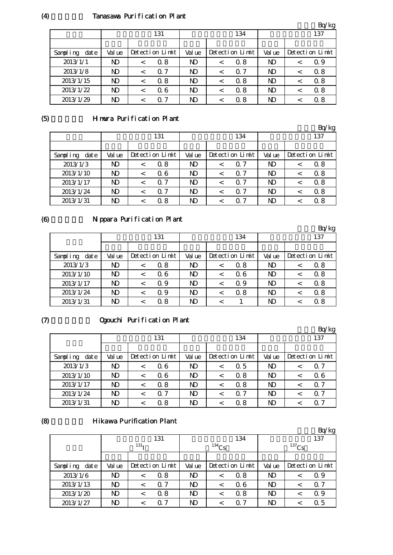## (4) Tanasawa Purification Plant

|                  |                |         |                 |                |         |                 |                | Bq/kg           |
|------------------|----------------|---------|-----------------|----------------|---------|-----------------|----------------|-----------------|
|                  |                |         | 131             |                |         | 134             |                | 137             |
|                  |                |         |                 |                |         |                 |                |                 |
| Sampling<br>date | Val ue         |         | Detection Limit | Val ue         |         | Detection Limit | Val ue         | Detection Limit |
| 2013/1/1         | ND             | $\,<\,$ | 0.8             | ND             | $\,<\,$ | 0.8             | ND             | Q 9             |
| 2013/1/8         | ND             |         | $\Omega$ 7      | N <sub>D</sub> | $\,<\,$ | 0.7             | N <sub>D</sub> | 0.8             |
| 2013/1/15        | ND             |         | 0.8             | ND             | ✓       | 0.8             | ND             | 0.8             |
| 2013/1/22        | N <sub>D</sub> |         | 06              | N <sub>D</sub> | <       | 0.8             | N <sub>D</sub> | 0.8             |
| 2013/1/29        | ND             |         | -7<br>0         | ND             |         | 0. 8            | ND             | 0.8             |

## (5) Himura Purification Plant

|                  |        |         |                 |                |         |                 |        | Bq/kg           |
|------------------|--------|---------|-----------------|----------------|---------|-----------------|--------|-----------------|
|                  |        |         | 131             |                |         | 134             |        | 137             |
|                  |        |         |                 |                |         |                 |        |                 |
| date<br>Sampling | Val ue |         | Detection Limit | Val ue         |         | Detection Limit | Val ue | Detection Limit |
| 2013/1/3         | ND     | $\,<\,$ | 0.8             | ND             | $\,<\,$ | 0.7             | ND     | 0.8             |
| 2013/1/10        | ND     |         | 06              | N <sub>D</sub> | $\,<\,$ | 0.7             | ND     | 0.8             |
| 2013/1/17        | ND     |         | $\Omega$ 7      | ND             | $\,<\,$ | 0.7             | ND     | 0.8             |
| 2013/1/24        | ND     |         | $\Omega$ 7      | ND             | $\,<\,$ | 0.7             | ND     | 0.8             |
| 2013/1/31        | ND     |         | 0.8             | ND             | <       | 0. 7            | ND     | 0.8             |

#### (6)

## Nippara Purification Plant

|                  |        |         |                 |                |         |                 |                |  | Bq/kg           |
|------------------|--------|---------|-----------------|----------------|---------|-----------------|----------------|--|-----------------|
|                  |        |         | 131             | 134            |         |                 | 137            |  |                 |
|                  |        |         |                 |                |         |                 |                |  |                 |
| Sampling<br>date | Val ue |         | Detection Limit | Val ue         |         | Detection Limit | Val ue         |  | Detection Limit |
| 2013/1/3         | ND     |         | 0.8             | ND             | $\,<\,$ | 0.8             | ND             |  | 0.8             |
| 2013/1/10        | ND     | $\,<\,$ | 06              | ND             | <       | 0.6             | N <sub>D</sub> |  | 0.8             |
| 2013/1/17        | ND     |         | Q 9             | N <sub>D</sub> | <       | Q 9             | N <sub>D</sub> |  | 0.8             |
| 2013/1/24        | ND     |         | Q 9             | N <sub>D</sub> | <       | 0.8             | ND             |  | 0.8             |
| 2013/1/31        | ND     |         | Q 8             | ND             |         |                 | ND             |  | 0.8             |

### $(7)$

## Ogouchi Purification Plant

|                  |                |         |                 |                |         |                 |                | Bq/kg           |
|------------------|----------------|---------|-----------------|----------------|---------|-----------------|----------------|-----------------|
|                  |                |         | 131             |                |         | 134             |                | 137             |
|                  |                |         |                 |                |         |                 |                |                 |
| Sampling<br>date | Val ue         |         | Detection Limit | Val ue         |         | Detection Limit | Val ue         | Detection Limit |
| 2013/1/3         | ND             |         | 06              | N <sub>D</sub> | <       | 0.5             | ND             | $\Omega$ 7      |
| 2013/1/10        | N <sub>D</sub> | $\,<\,$ | 06              | ND.            | $\,<\,$ | 0.8             | ND             | 06              |
| 2013/1/17        | N <sub>D</sub> | $\,<\,$ | 0.8             | ND.            | $\,<\,$ | 0.8             | ND             | $\Omega$ 7      |
| 2013/1/24        | ND             | $\,<\,$ | $\Omega$ 7      | N <sub>D</sub> | $\,<\,$ | 0.7             | N <sub>D</sub> | $\Omega$ 7      |
| 2013/1/31        | ND             |         | 0.8             | ND             |         | 0. 8            | ND             | Q 7             |

#### (8)

#### **Hikawa Purification Plant**

|                  |        |                  |                 |                |          |                 |        |          | Bq/kg           |
|------------------|--------|------------------|-----------------|----------------|----------|-----------------|--------|----------|-----------------|
|                  |        |                  | 131             |                |          | 134             |        |          | 137             |
|                  |        | 131 <sub>T</sub> |                 |                | $134$ Cs |                 |        | $137$ Cs |                 |
|                  |        |                  |                 |                |          |                 |        |          |                 |
| date<br>Sampling | Val ue |                  | Detection Limit | Val ue         |          | Detection Limit | Val ue |          | Detection Limit |
| 2013/1/6         | ND     | <                | 0.8             | ND             | $\,<\,$  | 0.8             | ND     |          | Q 9             |
| 2013/1/13        | ND.    | <                | $\Omega$ 7      | ND             | $\,<\,$  | 0.6             | ND     |          | $\Omega$ 7      |
| 2013/1/20        | ND     | <                | 0.8             | ND             | <        | 0.8             | ND     |          | 0.9             |
| 2013/1/27        | ND     | <                | 0.7             | N <sub>D</sub> |          | 0. 7            | ND     |          | Q 5             |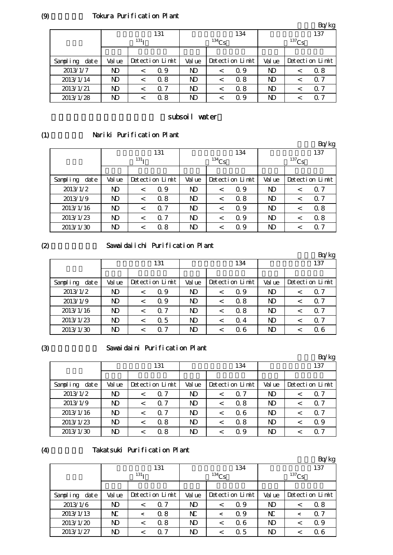### Tokura Purification Plant

|                  |                |                  |                 |                |          |                 |                |          | Bq/kg           |
|------------------|----------------|------------------|-----------------|----------------|----------|-----------------|----------------|----------|-----------------|
|                  |                |                  | 131             |                |          | 134             |                |          | 137             |
|                  |                | 131 <sub>T</sub> |                 |                | $134$ Cs |                 |                | $137$ Cs |                 |
|                  |                |                  |                 |                |          |                 |                |          |                 |
| Sampling<br>date | Val ue         |                  | Detection Limit | Val ue         |          | Detection Limit | Val ue         |          | Detection Limit |
| 2013/1/7         | ND             | $\,<\,$          | 0.9             | N <sub>D</sub> | $\,<\,$  | Q 9             | $\mathbf{D}$   |          | 0.8             |
| 2013/1/14        | N <sub>D</sub> |                  | 0.8             | N <sub>D</sub> | $\,<\,$  | 0.8             | N <sub>D</sub> |          | 0. 7            |
| 2013/1/21        | ND             | $\,<\,$          | 0.7             | N <sub>D</sub> | <        | 0.8             | N <sub>D</sub> |          | $\Omega$ 7      |
| 2013/1/28        | ND             |                  | 0.8             | ND.            | <        | Q 9             | N <sub>D</sub> |          | 0. 7            |

#### subsoil water

#### (1) Nariki Purification Plant

|                  |                |                  |                 |                |            |                 |                |          | Bq/kg           |
|------------------|----------------|------------------|-----------------|----------------|------------|-----------------|----------------|----------|-----------------|
|                  |                |                  | 131             |                |            | 134             |                |          | 137             |
|                  |                | 131 <sub>T</sub> |                 |                | $^{134}Cs$ |                 |                | $137$ Cs |                 |
|                  |                |                  |                 |                |            |                 |                |          |                 |
| Sampling<br>date | Value          |                  | Detection Limit | Value          |            | Detection Limit | Val ue         |          | Detection Limit |
| 2013/1/2         | N <sub>D</sub> | $\,<\,$          | 0.9             | N <sub>D</sub> | $\,<\,$    | Q 9             | $\mathbf{D}$   | ≺        | $\Omega$ 7      |
| 2013/1/9         | $\mathbf{D}$   | $\,<\,$          | 0.8             | N <sub>D</sub> | $\,<\,$    | 0.8             | $\mathbf{D}$   | <        | $\Omega$ 7      |
| 2013/1/16        | ND             | $\,<\,$          | $\Omega$ 7      | N <sub>D</sub> | $\,<\,$    | Q 9             | ND             | ≺        | 0.8             |
| 2013/1/23        | N <sub>D</sub> | $\,<\,$          | 7<br>Ω          | N <sub>D</sub> | $\,<\,$    | Q 9             | N <sub>D</sub> | <        | 0.8             |
| 2013/1/30        | ND             | $\,<\,$          | 0.8             | ND             | $\,<\,$    | Q 9             | ND             |          | Q 7             |

## $(2)$

#### Sawaidaiichi Purification Plant

|                  |                |         |                 |                |         |                 |        | Bq/kg           |
|------------------|----------------|---------|-----------------|----------------|---------|-----------------|--------|-----------------|
|                  |                |         | 131             |                |         | 134             |        | 137             |
|                  |                |         |                 |                |         |                 |        |                 |
| date<br>Sampling | Val ue         |         | Detection Limit | Val ue         |         | Detection Limit | Val ue | Detection Limit |
| 2013/1/2         | ND             | <       | Q 9             | ND             | $\,<\,$ | Q 9             | ND     | 0.7             |
| 2013/1/9         | N <sub>D</sub> | $\,<\,$ | Q 9             | ND             | $\,<\,$ | 0.8             | ND     | $\Omega$ 7      |
| 2013/1/16        | ND             | $\,<\,$ | 0.7             | ND             | $\,<\,$ | 0.8             | ND     | 0.7             |
| 2013/1/23        | N <sub>D</sub> | $\,<\,$ | $\Omega$ 5      | N <sub>D</sub> | <       | Q 4             | ND     | 0.7             |
| 2013/1/30        | ND             |         | $\Omega$ 7      | ND             |         | 0. 6            | ND     | 0 6             |

#### (3)

#### Sawaidaini Purification Plant

|                  |        |         |                 |                |         |                 |                | Bq/kg           |
|------------------|--------|---------|-----------------|----------------|---------|-----------------|----------------|-----------------|
|                  |        |         | 131             |                |         | 134             |                | 137             |
|                  |        |         |                 |                |         |                 |                |                 |
| Sampling<br>date | Val ue |         | Detection Limit | Val ue         |         | Detection Limit | Val ue         | Detection Limit |
| 2013/1/2         | ND     |         | 0.7             | N <sub>D</sub> |         | 0.7             | N <sub>D</sub> | $\Omega$ 7      |
| 2013/1/9         | ND     | $\,<\,$ | $\Omega$ 7      | N <sub>D</sub> | $\,<\,$ | 0.8             | N <sub>D</sub> | $\Omega$ 7      |
| 2013/1/16        | ND     |         | $\Omega$ 7      | N <sub>D</sub> | $\,<\,$ | 0.6             | N <sub>D</sub> | $\Omega$ 7      |
| 2013/1/23        | ND     |         | 0.8             | N <sub>D</sub> | <       | 0.8             | N <sub>D</sub> | 0.9             |
| 2013/1/30        | ND     |         | 0.8             | ND             |         | Q 9             | ND             | Q 7             |

#### (4)

#### Takatsuki Purification Plant

|                  |                  |         |                 |        |          |                 |                |          | Bq/kg           |
|------------------|------------------|---------|-----------------|--------|----------|-----------------|----------------|----------|-----------------|
|                  |                  |         | 131             |        |          | 134             |                |          | 137             |
|                  | 131 <sub>T</sub> |         |                 |        | $134$ Cs |                 |                | $137$ Cs |                 |
|                  |                  |         |                 |        |          |                 |                |          |                 |
| Sampling<br>date | Val ue           |         | Detection Limit | Val ue |          | Detection Limit | Val ue         |          | Detection Limit |
| 2013/1/6         | ND.              | $\,<\,$ | $\Omega$ 7      | N)     | $\,<\,$  | Q 9             | N <sub>D</sub> | $\,<\,$  | 0.8             |
| 2013/1/13        | $\mathbf N$      | $\,<\,$ | 0.8             | N      | $\,<\,$  | 0.9             | N              | ≺        | $\alpha$ 7      |
| 2013/1/20        | N <sub>D</sub>   | $\,<\,$ | 0.8             | N)     | $\,<\,$  | 0.6             | N <sub>D</sub> | ≺        | Q 9             |
| 2013/1/27        | ND               | $\,<\,$ | $\Omega$ 7      | ND     | $\,<\,$  | 0.5             | ND             |          | 06              |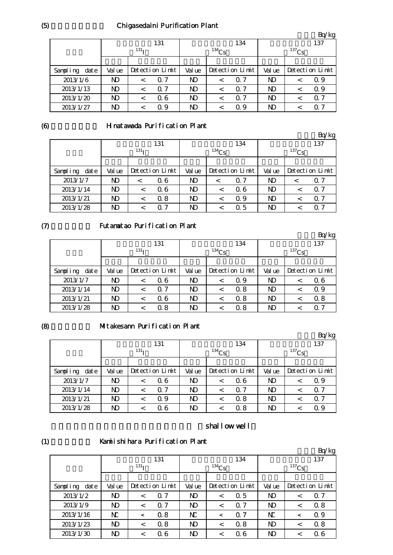## Chigasedaini Purification Plant

|                  |        |                  |                 |                |            |                 |                |             | Bq/kg           |  |
|------------------|--------|------------------|-----------------|----------------|------------|-----------------|----------------|-------------|-----------------|--|
|                  |        |                  | 131             |                |            | 134             |                | 137         |                 |  |
|                  |        | 131 <sub>T</sub> |                 |                | $^{134}Cs$ |                 |                | $^{137}$ Cs |                 |  |
|                  |        |                  |                 |                |            |                 |                |             |                 |  |
| Sampling<br>date | Val ue |                  | Detection Limit | Val ue         |            | Detection Limit | Val ue         |             | Detection Limit |  |
| 2013/1/6         | ND     |                  | $\Omega$ 7      | N <sub>D</sub> | $\,<\,$    | 0.7             | N <sub>D</sub> |             | Q 9             |  |
| 2013/1/13        | ND     |                  | $\Omega$ 7      | N <sub>D</sub> | $\,<\,$    | 0.7             | N <sub>D</sub> |             | Q 9             |  |
| 2013/1/20        | ND     | $\,<\,$          | 06              | N <sub>D</sub> | $\,<\,$    | 0.7             | N <sub>D</sub> |             | Q 7             |  |
| 2013/1/27        | ND     | $\,<\,$          | Q 9             | N <sub>D</sub> | $\,<\,$    | Q 9             | ND             |             | $\Omega$ 7      |  |

#### (6)

### Hinatawada Purification Plant

|                  |                  |  |                 |                |            |                 |        |          | Bq/kg           |
|------------------|------------------|--|-----------------|----------------|------------|-----------------|--------|----------|-----------------|
|                  |                  |  | 131             |                |            | 134             |        |          | 137             |
|                  | 131 <sub>T</sub> |  |                 |                | $^{134}Cs$ |                 |        | $137$ Cs |                 |
|                  |                  |  |                 |                |            |                 |        |          |                 |
| Sampling<br>date | Val ue           |  | Detection Limit | Val ue         |            | Detection Limit | Val ue |          | Detection Limit |
| 2013/1/7         | ND               |  | 06              | ND.            | $\,<\,$    | 0.7             | ND     |          | 0. 7            |
| 2013/1/14        | ND               |  | 06              | ND.            | $\,<\,$    | 06              | ND     |          | 0. 7            |
| 2013/1/21        | ND               |  | 0.8             | N <sub>D</sub> | $\,<\,$    | Q 9             | ND     |          | 0. 7            |
| 2013/1/28        | ND               |  | 0. 7            | ND             | <          | Q 5             | ND     |          | O 7             |

## $(7)$

## Futamatao Purification Plant

|                  |                |                  |                 |                |          |                 |        |          | Bq/kg           |
|------------------|----------------|------------------|-----------------|----------------|----------|-----------------|--------|----------|-----------------|
|                  |                |                  | 131             |                |          | 134             |        |          | 137             |
|                  |                | 131 <sub>T</sub> |                 |                | $134$ Cs |                 |        | $137$ Cs |                 |
|                  |                |                  |                 |                |          |                 |        |          |                 |
| Sampling<br>date | Val ue         |                  | Detection Limit | Val ue         |          | Detection Limit | Val ue |          | Detection Limit |
| 2013/1/7         | ND             | $\,<\,$          | 06              | N <sub>D</sub> | $\,<\,$  | Q 9             | ND     |          | 06              |
| 2013/1/14        | N <sub>D</sub> | $\,<\,$          | 0.7             | ND.            | $\,<\,$  | 0.8             | ND     |          | Q 9             |
| 2013/1/21        | N <sub>D</sub> | $\,<\,$          | 06              | ND.            | $\,<\,$  | 0.8             | ND     |          | 0.8             |
| 2013/1/28        | ND             |                  | 0.8             | ND             | <        | 0.8             | ND     |          | 0. 7            |

#### (8)

## Mitakesann Purification Plant

|                  |                  |   |                 |                |            |                 |                |          | Bq/kg           |
|------------------|------------------|---|-----------------|----------------|------------|-----------------|----------------|----------|-----------------|
|                  |                  |   | 131             |                |            | 134             |                | 137      |                 |
|                  | 131 <sub>T</sub> |   |                 |                | $^{134}Cs$ |                 |                | $137$ Cs |                 |
|                  |                  |   |                 |                |            |                 |                |          |                 |
| date<br>Sampling | Val ue           |   | Detection Limit | Val ue         |            | Detection Limit | Val ue         |          | Detection Limit |
| 2013/1/7         | ND               |   | 06              | ND             | $\,<\,$    | 0.6             | ND             |          | Q 9             |
| 2013/1/14        | ND               | < | 0.7             | N <sub>D</sub> | $\,<\,$    | 0.7             | N <sub>D</sub> |          | 0. 7            |
| 2013/1/21        | ND               |   | Q 9             | N <sub>D</sub> | <          | 0.8             | N <sub>D</sub> |          | $\Omega$ 7      |
| 2013/1/28        | ND               |   | Q 6             | ND             |            | 0.8             | ND             |          | Q 9             |

# shallow well

#### (1)

#### Kamiishihara Purification Plant

|                      |                  |         |                 |              |         |                 |              |          | Bq/kg           |
|----------------------|------------------|---------|-----------------|--------------|---------|-----------------|--------------|----------|-----------------|
|                      |                  |         | 131             |              |         | 134             | 137          |          |                 |
|                      | 131 <sub>T</sub> |         |                 | $134$ Cs     |         |                 |              | $137$ Cs |                 |
|                      |                  |         |                 |              |         |                 |              |          |                 |
| $\det e$<br>Sampling | Val ue           |         | Detection Limit | Val ue       |         | Detection Limit | Val ue       |          | Detection Limit |
| 2013/1/2             | ND               | $\,<\,$ | $\Omega$ 7      | $\mathbf{D}$ | $\,<\,$ | 0.5             | ND           |          | $\Omega$ 7      |
| 2013/1/9             | ND               | $\,<\,$ | 0.7             | $\mathbf{D}$ | $\,<\,$ | 0.7             | ND           |          | 0.8             |
| 2013/1/16            | $\rm N$          | $\,<\,$ | 0.8             | N            | $\,<\,$ | 0.7             | N            |          | 0.9             |
| 2013/1/23            | ND               | $\,<$   | 0.8             | ND           | $\,<\,$ | 0.8             | ND           |          | 0.8             |
| 2013/1/30            | ND               | $\,<\,$ | 06              | ND           | $\,<\,$ | Q 6             | $\mathbf{D}$ |          | 06              |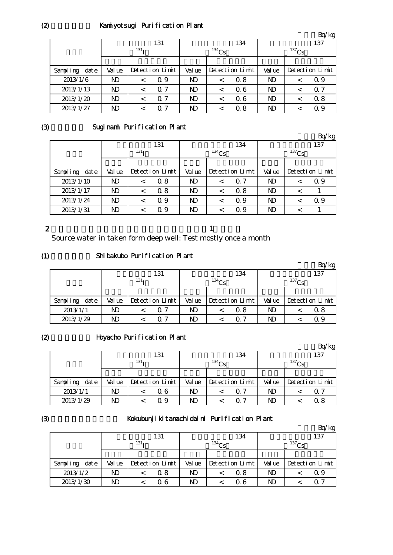## Kamiyotsugi Purification Plant

|                |                  |            |                 |            |     |                 |  | $-4.5$              |  |
|----------------|------------------|------------|-----------------|------------|-----|-----------------|--|---------------------|--|
|                | 131              |            |                 |            | 134 | 137             |  |                     |  |
|                | 131 <sub>T</sub> |            |                 | $^{134}Cs$ |     |                 |  |                     |  |
|                |                  |            |                 |            |     |                 |  |                     |  |
| Val ue         |                  |            | Val ue          |            |     | Val ue          |  | Detection Limit     |  |
| ND             |                  | Q 9        | N <sub>D</sub>  |            | 0.8 | ND              |  | Q 9                 |  |
| N <sub>D</sub> | $\,<\,$          | $\Omega$ 7 | N <sub>D</sub>  | $\,<\,$    | 06  | ND              |  | 0.7                 |  |
| ND             |                  | $\Omega$ 7 | $\mathbf{D}$    | $\,<\,$    | 06  | N)              |  | 0.8                 |  |
| ND             |                  | $\Omega$ 7 | N <sub>D</sub>  |            | 0.8 | ND              |  | Q 9                 |  |
|                |                  |            | Detection Limit |            |     | Detection Limit |  | $^{137}\mathrm{Cs}$ |  |

 $Br/kq$ 

 $\mathbf{D}$ :  $\mathbf{D}$ 

## (3)

## Suginami Purification Plant

|                      |                  |         |                 |                |         |                 |                |            | Bq/kg           |  |
|----------------------|------------------|---------|-----------------|----------------|---------|-----------------|----------------|------------|-----------------|--|
|                      |                  |         | 131             |                |         | 134             |                |            | 137             |  |
|                      | 131 <sub>T</sub> |         |                 | $^{134}Cs$     |         |                 |                | $^{137}Cs$ |                 |  |
|                      |                  |         |                 |                |         |                 |                |            |                 |  |
| $\det e$<br>Sampling | Val ue           |         | Detection Limit | Val ue         |         | Detection Limit | Val ue         |            | Detection Limit |  |
| 2013/1/10            | $\mathbf{D}$     | $\,<\,$ | 0.8             | N <sub>D</sub> | $\,<\,$ | 0.7             | N <sub>D</sub> |            | Q 9             |  |
| 2013/1/17            | ND               | $\,<\,$ | 0.8             | N)             | $\,<\,$ | 0.8             | N <sub>D</sub> | $\,<\,$    |                 |  |
| 2013/1/24            | ND               | $\,<\,$ | Q 9             | N <sub>D</sub> | $\,<\,$ | Q 9             | N <sub>D</sub> |            | Q 9             |  |
| 2013/1/31            | ND               | $\,<\,$ | 0.9             | ND.            |         | Q 9             | N <sub>D</sub> |            |                 |  |

#### 2

Source water in taken form deep well: Test mostly once a month

 $\mathbf 1$ 

#### (1) Shibakubo Purification Plant

|                  |        |                  | 131             |        |          | 134             |        |          | 137             |
|------------------|--------|------------------|-----------------|--------|----------|-----------------|--------|----------|-----------------|
|                  |        | 131 <sub>T</sub> |                 |        | $134C_S$ |                 |        | $137$ Cs |                 |
|                  |        |                  |                 |        |          |                 |        |          |                 |
| Sampling<br>date | Val ue |                  | Detection Limit | Val ue |          | Detection Limit | Val ue |          | Detection Limit |
| 2013/1/1         | ND     |                  | 0.7             | ND.    |          | 0.8             | ND     |          | Q 8             |
| 2013/1/29        | ND     |                  | $\Omega$ 7      | ND     |          | ∩ 7             | ND     |          | Q 9             |

#### (2)

## Hoyacho Purification Plant

|               |                  |  |                 |            |  |                 |             |  | $\mathbf{D} \psi$ kg |
|---------------|------------------|--|-----------------|------------|--|-----------------|-------------|--|----------------------|
|               |                  |  | 131             |            |  | 134             |             |  | 137                  |
|               | 131 <sub>T</sub> |  |                 | $^{134}Cs$ |  |                 | $^{137}$ Cs |  |                      |
|               |                  |  |                 |            |  |                 |             |  |                      |
| Sampling date | Val ue           |  | Detection Limit | Val ue     |  | Detection Limit | Val ue      |  | Detection Limit      |
| 2013/1/1      | ND.              |  | 06              | ND         |  | 0. 7            | ND          |  | Q 7                  |
| 2013/1/29     | ND               |  | Q 9             | ND         |  | ∩ 7             | ND          |  | 0 8                  |

## (3)

# Kokubunjikitamachidaini Purification Plant

|                  |        |                  |                 |        |          |                 |        |             | Bq/kg           |  |
|------------------|--------|------------------|-----------------|--------|----------|-----------------|--------|-------------|-----------------|--|
|                  |        |                  | 131             |        |          | 134             |        |             | 137             |  |
|                  |        | 131 <sub>T</sub> |                 |        | $134$ Cs |                 |        | $^{137}$ Cs |                 |  |
|                  |        |                  |                 |        |          |                 |        |             |                 |  |
| date<br>Sampling | Val ue |                  | Detection Limit | Val ue |          | Detection Limit | Val ue |             | Detection Limit |  |
| 2013/1/2         | ND     |                  | Q 8             | ND     |          | 0. 8            | ND     |             | Q 9             |  |
| 2013/1/30        | ND     |                  | Q 6             | ND     |          | 06              | ND     |             | Q 7             |  |

 $(2)$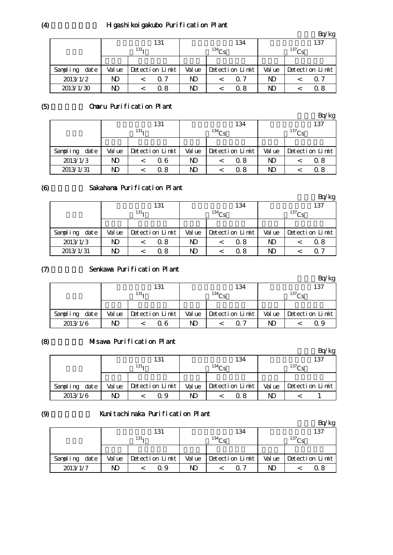## H gashikoigakubo Purification Plant

|                  |        |                  |                 |        |            |                 |                |            | 'kg             |
|------------------|--------|------------------|-----------------|--------|------------|-----------------|----------------|------------|-----------------|
|                  |        |                  | 131             |        |            | 134             |                |            | 137             |
|                  |        | 131 <sub>T</sub> |                 |        | $^{134}Cs$ |                 |                | $^{137}Cs$ |                 |
|                  |        |                  |                 |        |            |                 |                |            |                 |
| date<br>Sampling | Val ue |                  | Detection Limit | Val ue |            | Detection Limit | Val ue         |            | Detection Limit |
| 2013/1/2         | ND     |                  | $\Omega$ 7      | ND     |            | 0.7             | N <sub>D</sub> |            | Q 7             |
| 2013/1/30        | ND     |                  | Q 8             | ND     |            | 0. 8            | ND             |            | 0 8             |

#### (5) Omaru Purification Plant

|                  |                  |     |                 |        |          |                 |        |            | Bq/kg           |  |
|------------------|------------------|-----|-----------------|--------|----------|-----------------|--------|------------|-----------------|--|
|                  |                  | 131 |                 |        | 134      |                 |        | 137        |                 |  |
|                  | 131 <sub>T</sub> |     |                 |        | $134C_S$ |                 |        | $^{137}Cs$ |                 |  |
|                  |                  |     |                 |        |          |                 |        |            |                 |  |
| date<br>Sampling | Val ue           |     | Detection Limit | Val ue |          | Detection Limit | Val ue |            | Detection Limit |  |
| 2013/1/3         | ND               |     | 06              | ND     |          | 0.8             | ND     |            | Q 8             |  |
| 2013/1/31        | N)               |     | Q 8             | ND     |          | 0. 8            | ND     |            | 0.8             |  |

#### (6) Sakahama Purification Plant

|                  |        |                  |                 |        |          |                 |        |            | Bq/kg           |  |
|------------------|--------|------------------|-----------------|--------|----------|-----------------|--------|------------|-----------------|--|
|                  |        | 131              |                 |        |          | 134             | 137    |            |                 |  |
|                  |        | 131 <sub>T</sub> |                 |        | $134$ Cs |                 |        | $^{137}Cs$ |                 |  |
|                  |        |                  |                 |        |          |                 |        |            |                 |  |
| Sampling<br>date | Val ue |                  | Detection Limit | Val ue |          | Detection Limit | Val ue |            | Detection Limit |  |
| 2013/1/3         | ND.    |                  | 0.8             | ND.    |          | 0.8             | ND     |            | Q 8             |  |
| 2013/1/31        | ND     |                  | Q 8             | ND.    |          | 0.8             | ND     |            | $\Omega$ 7      |  |

#### $(7)$ Senkawa Purification Plant

|               |        |                  |    |                         |                   | Bq/kg                          |  |
|---------------|--------|------------------|----|-------------------------|-------------------|--------------------------------|--|
|               |        | 131              |    | 134                     | 137               |                                |  |
|               |        | 131 <sub>T</sub> |    | $134C_c$                | 137C <sub>c</sub> |                                |  |
|               |        |                  |    |                         |                   |                                |  |
| Sampling date | Val ue | Detection Limit  |    | Value   Detection Limit |                   | Value $\Delta$ betection Limit |  |
| 2013/1/6      | ND     | Q 6              | ND | ∩ 7                     | ND                | Q 9                            |  |

#### (8) Misawa Purification Plant

|                  |        |                  |        |                 |                   | Bq/kg           |  |
|------------------|--------|------------------|--------|-----------------|-------------------|-----------------|--|
|                  |        | 131<br>134       |        |                 |                   | 137             |  |
|                  |        | 131 <sub>T</sub> |        | $^{134}$ Cc     | 137C <sub>c</sub> |                 |  |
|                  |        |                  |        |                 |                   |                 |  |
| date<br>Sampling | Val ue | Detection Limit  | Val ue | Detection Limit | Value             | Detection Limit |  |
| 2013/1/6         | ND     | Q 9              | ND     | 0 8             | ND                |                 |  |

#### (9)

### Kunitachinaka Purification Plant

|                  |        |                  |        |                   |                   | 'kg             |  |
|------------------|--------|------------------|--------|-------------------|-------------------|-----------------|--|
|                  |        | 131              |        | 134               | 137               |                 |  |
|                  |        | 131 <sub>T</sub> |        | 134C <sub>c</sub> | 137C <sub>c</sub> |                 |  |
|                  |        |                  |        |                   |                   |                 |  |
| date<br>Sampling | Val ue | Detection Limit  | Val ue | Detection Limit   | Val ue            | Detection Limit |  |
| 2013/1/7         | ND     | Ο9               | ND     | 0. 7              | ND                | ი გ             |  |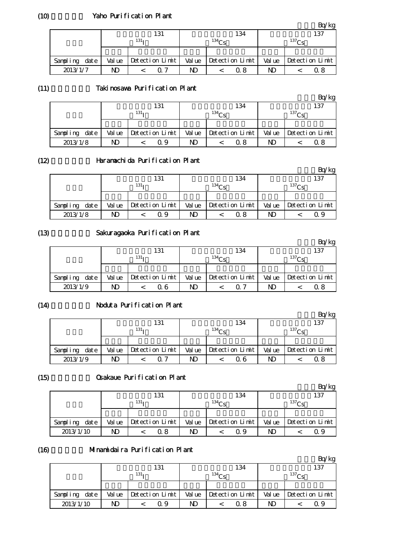#### Yaho Purification Plant

|               |        |                  |        |                   |                   | $\gamma_{\rm kg}$ |  |
|---------------|--------|------------------|--------|-------------------|-------------------|-------------------|--|
|               |        | 131              |        | 134               | 137               |                   |  |
|               |        | 131 <sub>T</sub> |        | 134C <sub>c</sub> | 137C <sub>c</sub> |                   |  |
|               |        |                  |        |                   |                   |                   |  |
| Sampling date | Val ue | Detection Limit  | Val ue | Detection Limit   | Val ue            | Detection Limit   |  |
| 2013/1/7      | ND     | ∩ 7              | ND     | 0. 8              | ND                | Ω8                |  |

#### (11) Takinosawa Purification Plant

|          |      |        |                  |                 |        |                   |                 |        |                   | 'kg             |
|----------|------|--------|------------------|-----------------|--------|-------------------|-----------------|--------|-------------------|-----------------|
|          |      |        |                  | 131             |        |                   | 134             | 137    |                   |                 |
|          |      |        | 131 <sub>T</sub> |                 |        | 134C <sub>c</sub> |                 |        | 137C <sub>c</sub> |                 |
|          |      |        |                  |                 |        |                   |                 |        |                   |                 |
| Sampling | date | Val ue |                  | Detection Limit | Val ue |                   | Detection Limit | Val ue |                   | Detection Limit |
| 2013/1/8 |      | ND     |                  | Q 9             | ND     |                   | 0. 8            | ND     |                   | 0.8             |

#### (12)

## Haramachida Purification Plant

|               |        |                  |                   |                 |        | Bq/kg           |  |
|---------------|--------|------------------|-------------------|-----------------|--------|-----------------|--|
|               |        | 131              |                   | 134             | 137    |                 |  |
|               |        | 131 <sub>T</sub> | 134C <sub>c</sub> |                 |        | $^{137}$ Cs     |  |
|               |        |                  |                   |                 |        |                 |  |
| Sampling date | Val ue | Detection Limit  | Val ue            | Detection Limit | Val ue | Detection Limit |  |
| 2013/1/8      | ND     | Q 9              | ND                | 0.8             | ND     | Q 9             |  |

#### (13)

### Sakuragaoka Purification Plant

|               |        |                  |       |                   |       | 'kg               |
|---------------|--------|------------------|-------|-------------------|-------|-------------------|
|               |        | 131              |       | 134               |       | 137               |
|               |        | 131 <sub>T</sub> |       | 134C <sub>e</sub> |       | 137C <sub>c</sub> |
|               |        |                  |       |                   |       |                   |
| Sampling date | Val ue | Detection Limit  | Value | Detection Limit   | Value | Detection Limit   |
| 2013/1/9      | ND     | Q 6              | ND    | ი 7               | ND    | α8                |

#### (14)

#### Noduta Purification Plant

|                  |        |                      |        |                 |             | kg              |  |
|------------------|--------|----------------------|--------|-----------------|-------------|-----------------|--|
|                  |        | 131                  |        | 134             | 137         |                 |  |
|                  |        | $131_1$              |        | $134$ Ce        | $^{137}$ Cc |                 |  |
|                  |        |                      |        |                 |             |                 |  |
| Sampling<br>date | Val ue | $Detecti$ on $Limit$ | Val ue | Detection Limit | Val ue      | Detection Limit |  |
| 2013/1/9         | ND     |                      | ND     | 0. 6            | ND          | ດ ຂ             |  |

#### (15)

## **Osakaue Purification Plant**

|               |    |                         |        |                   |                   | 'kg             |  |
|---------------|----|-------------------------|--------|-------------------|-------------------|-----------------|--|
|               |    | 131                     |        | 134               |                   | 137             |  |
|               |    | 131 <sub>T</sub>        |        | 134C <sub>S</sub> | 137C <sub>c</sub> |                 |  |
|               |    |                         |        |                   |                   |                 |  |
| Sampling date |    | $Value$ Detection Limit | Val ue | Detection Limit   | Val ue            | Detection Limit |  |
| 2013/1/10     | ND | 0. 8                    | ND     | 09                | ND                | 09              |  |

#### (16) Minamidaira Purification Plant

|                  |        |                  |     |        |                   |                 |        |             | 'kg             |  |
|------------------|--------|------------------|-----|--------|-------------------|-----------------|--------|-------------|-----------------|--|
|                  |        |                  | 131 |        |                   | 134             |        |             | 137             |  |
|                  |        | 131 <sub>T</sub> |     |        | 134C <sub>e</sub> |                 |        | $^{137}$ Ce |                 |  |
|                  |        |                  |     |        |                   |                 |        |             |                 |  |
| date<br>Sampling | Val ue | Detection Limit  |     | Val ue |                   | Detection Limit | Val ue |             | Detection Limit |  |
| 2013/1/10        | ND     |                  | Q 9 | ND     |                   | ი  გ            | ND     |             | Q 9             |  |

(10)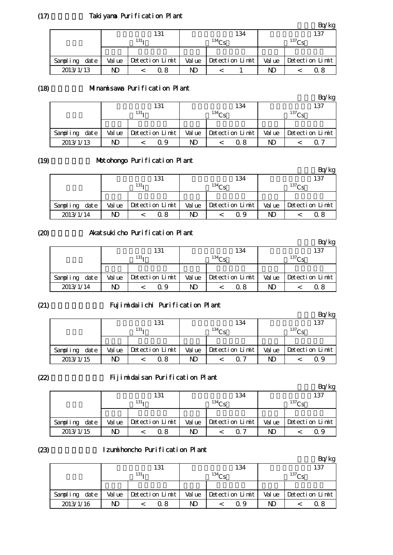## Takiyama Purification Plant

|               |        |                  |        |                   |       | $\gamma_{\rm kg}$ |
|---------------|--------|------------------|--------|-------------------|-------|-------------------|
|               |        | 131              |        | 134               |       | 137               |
|               |        | 131 <sub>T</sub> |        | 134C <sub>c</sub> |       | 137C <sub>c</sub> |
|               |        |                  |        |                   |       |                   |
| Sampling date | Val ue | Detection Limit  | Val ue | Detection Limit   | Value | Detection Limit   |
| 2013/1/13     | ND     | Q 8              | ND     |                   | ND    | 0.8               |

#### (18) Minamisawa Purification Plant

|               |        |                  |        |                   |        | Bq/kg           |
|---------------|--------|------------------|--------|-------------------|--------|-----------------|
|               |        | 131              |        | 134               |        | 137             |
|               |        | 131 <sub>T</sub> |        | 134C <sub>e</sub> |        | $^{137}$ Cs     |
|               |        |                  |        |                   |        |                 |
| Sampling date | Val ue | Detection Limit  | Val ue | Detection Limit   | Val ue | Detection Limit |
| 2013/1/13     | ND     | Ο9               | ND     | 0.8               | ND     | 0. 7            |

#### (19)

## Motohongo Purification Plant

|               |        |                  |       |                 |        | Bq/kg           |
|---------------|--------|------------------|-------|-----------------|--------|-----------------|
|               |        | 131              |       | 134             |        | 137             |
|               |        | 131 <sub>T</sub> |       | $^{134}$ Cs     |        | $^{137}$ Cs     |
|               |        |                  |       |                 |        |                 |
| Sampling date | Val ue | Detection Limit  | Value | Detection Limit | Val ue | Detection Limit |
| 2013/1/14     | ND     | Q 8              | N)    | Q 9             | ND     | 0 8             |

## Akatsukicho Purification Plant

|                  |        |                  |        |                   |    | $k$ g                          |
|------------------|--------|------------------|--------|-------------------|----|--------------------------------|
|                  |        | 131              |        | 134               |    | 137                            |
|                  |        | 131 <sub>T</sub> |        | 134C <sub>e</sub> |    | $^{137}$ Cc                    |
|                  |        |                  |        |                   |    |                                |
| Sampling<br>date | Val ue | Detection Limit  | Val ue | Detection Limit   |    | Value $\Delta$ betection Limit |
| 2013/1/14        | ND     | Q 9              | ND     | ი  გ              | ND | Ω8                             |

#### (21)

(20)

## Fujimidaiichi Purification Plant

|                  |        |                  |        |                   |        | Bq/kg             |
|------------------|--------|------------------|--------|-------------------|--------|-------------------|
|                  |        | 131              |        | 134               |        | 137               |
|                  |        | 131 <sub>T</sub> |        | 134C <sub>S</sub> |        | 137C <sub>c</sub> |
|                  |        |                  |        |                   |        |                   |
| date<br>Sampling | Val ue | Detection Limit  | Val ue | Detection Limit   | Val ue | Detection Limit   |
| 2013/1/15        | ND     | 0 8              | ND     | 07                | ND     |                   |

#### (22)

## Fijimidaisan Purification Plant

|                  |        |                  |              |                 |        | 'kg               |
|------------------|--------|------------------|--------------|-----------------|--------|-------------------|
|                  |        | 131              |              | 134             |        | 137               |
|                  |        | 131 <sub>T</sub> |              | $^{134}$ Ce     |        | 137C <sub>c</sub> |
|                  |        |                  |              |                 |        |                   |
| Sampling<br>date | Val ue | Detection Limit  | Val ue       | Detection Limit | Val ue | Detection Limit   |
| 2013/1/15        | ND     | ი გ              | $\mathbf{D}$ | O 7             | ND     | Q 9               |

#### (23)

## Izumihoncho Purification Plant

|                  |        |                  |        |                 |        | 'kg             |
|------------------|--------|------------------|--------|-----------------|--------|-----------------|
|                  |        | 131              |        | 134             |        | 137             |
|                  |        | 131 <sub>T</sub> |        | $^{134}$ Cs     |        | $^{137}$ Cc     |
|                  |        |                  |        |                 |        |                 |
| date<br>Sampling | Val ue | Detection Limit  | Val ue | Detection Limit | Val ue | Detection Limit |
| 2013/1/16        | ND     | 0 8              | ND     | O 9             | ND     | 0 8             |

 $(17)$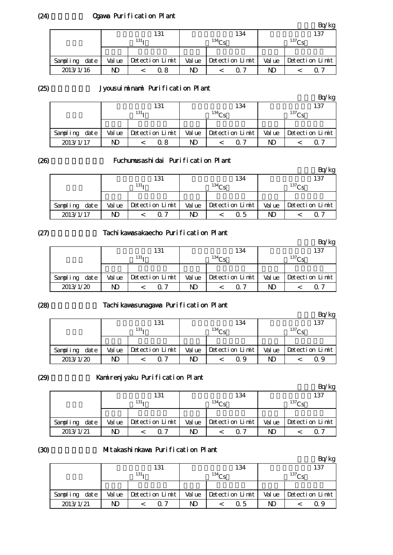## Ogawa Purification Plant

|               |        |                  |        |                   |       | $\log$            |
|---------------|--------|------------------|--------|-------------------|-------|-------------------|
|               |        | 131              |        | 134               |       | 137               |
|               |        | 131 <sub>T</sub> |        | 134C <sub>c</sub> |       | 137C <sub>c</sub> |
|               |        |                  |        |                   |       |                   |
| Sampling date | Val ue | Detection Limit  | Val ue | Detection Limit   | Value | Detection Limit   |
| 2013/1/16     | ND     | Q 8              | ND     | 0. 7              | ND    | 0.7               |

(25)

## Jyousuiminami Purification Plant

|                  |        |                  |        |                   |        | 'kg               |
|------------------|--------|------------------|--------|-------------------|--------|-------------------|
|                  |        | 131              |        | 134               |        | 137               |
|                  |        | 131 <sub>T</sub> |        | 134C <sub>c</sub> |        | 137C <sub>c</sub> |
|                  |        |                  |        |                   |        |                   |
| date<br>Sampling | Val ue | Detection Limit  | Val ue | Detection Limit   | Val ue | Detection Limit   |
| 2013/1/17        | ND     | 0.8              | ND     | 0. 7              | ND     |                   |

(26)

## Fuchumusashidai Purification Plant

|               |        | 131               |    | 134                   |    | 137                            |
|---------------|--------|-------------------|----|-----------------------|----|--------------------------------|
|               |        | 131 <sub>T</sub>  |    | 134C <sub>c</sub>     |    | 137C <sub>c</sub>              |
|               |        |                   |    |                       |    |                                |
| Sampling date | Val ue | $Detection$ Limit |    | Value Detection Limit |    | Value $\Delta$ betection Limit |
| 2013/1/17     | ND     |                   | ND | 0.5                   | ND | ( ) ·                          |

(27)

## Tachikawasakaecho Purification Plant

|               |        | 131              |        | 134               |    | 137                            |
|---------------|--------|------------------|--------|-------------------|----|--------------------------------|
|               |        | 131 <sub>7</sub> |        | 134 <sub>CI</sub> |    | 137C <sub>c</sub>              |
|               |        |                  |        |                   |    |                                |
| Sampling date | Val ue | Detection Limit  | Val ue | Detection Limit   |    | Value $\Delta$ betection Limit |
| 2013/1/20     | ND     | ∩ 7              | ND     | ∩ 7               | ND |                                |

(28)

## Tachikawasunagawa Purification Plant

|                  |        |                  |        |                 |        | Bq/kg           |
|------------------|--------|------------------|--------|-----------------|--------|-----------------|
|                  |        | 131              |        | 134             |        | 137             |
|                  |        | 131 <sub>T</sub> |        | $^{134}$ Cs     |        | $^{137}$ Cc     |
|                  |        |                  |        |                 |        |                 |
| date<br>Sampling | Val ue | Detection Limit  | Val ue | Detection Limit | Val ue | Detection Limit |
| 2013/1/20        | ND     | ∩ 7              | ND     | Q 9             | ND     |                 |

(29)

### Kamirenjyaku Purification Plant

|               |        |                  |        |                   |        | 'kg               |
|---------------|--------|------------------|--------|-------------------|--------|-------------------|
|               |        | 131              |        | 134               |        | 137               |
|               |        | 131 <sub>T</sub> |        | 134C <sub>c</sub> |        | 137C <sub>c</sub> |
|               |        |                  |        |                   |        |                   |
| Sampling date | Val ue | Detection Limit  | Val ue | Detection Limit   | Val ue | Detection Limit   |
| 2013/1/21     | ND     | 07               | ND     | 0. 7              | ND     |                   |

(30)

### Mitakashinkawa Purification Plant

|                  |        |                  |    |                       |        | kg              |  |
|------------------|--------|------------------|----|-----------------------|--------|-----------------|--|
|                  |        | 131              |    | 134                   |        | 137             |  |
|                  |        | 131 <sub>T</sub> |    | 134C <sub>S</sub>     |        | $^{137}$ Cs     |  |
|                  |        |                  |    |                       |        |                 |  |
| date<br>Sampling | Val ue | Detection Limit  |    | Value Detection Limit | Val ue | Detection Limit |  |
| 2013/1/21        | ND     | 07               | ND | 0.5                   | ND     | 09              |  |

(24)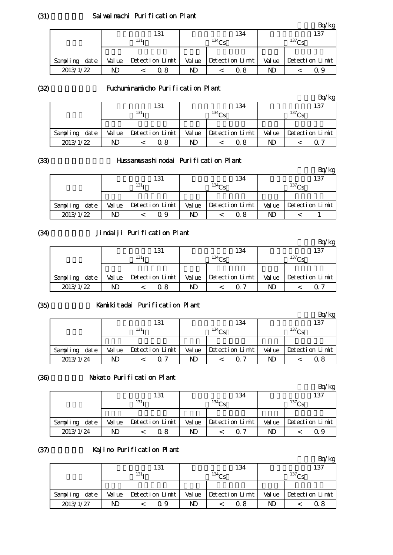#### Saiwaimachi Purification Plant

|               |        |                  |        |                   |                   | $\log$                         |
|---------------|--------|------------------|--------|-------------------|-------------------|--------------------------------|
|               |        | 131              |        | 134               |                   | 137                            |
|               |        | 131 <sub>T</sub> |        | 134C <sub>c</sub> | 137C <sub>c</sub> |                                |
|               |        |                  |        |                   |                   |                                |
| Sampling date | Val ue | Detection Limit  | Val ue | Detection Limit   |                   | Value $\Delta$ betection Limit |
| 2013/1/22     | ND     | 0. 8             | ND     | 0 8               | ND                | O 9                            |

(32)

#### Fuchuminamicho Purification Plant

|               |        | 131              |        | 134             |        | 137             |
|---------------|--------|------------------|--------|-----------------|--------|-----------------|
|               |        | 131 <sub>T</sub> |        | $^{134}$ Ce     |        | $^{137}$ Ce     |
|               |        |                  |        |                 |        |                 |
| Sampling date | Val ue | Detection Limit  | Val ue | Detection Limit | Val ue | Detection Limit |
| 2013/1/22     | ND     | 0.8              | ND     | 0.8             | ND     | O 7             |

(33)

## Hussamusashinodai Purification Plant

|               |        |                  |        |                   |    | 'kg                   |
|---------------|--------|------------------|--------|-------------------|----|-----------------------|
|               |        | 131              |        | 134               |    | 137                   |
|               |        | 131 <sub>T</sub> |        | 134C <sub>c</sub> |    | 137C <sub>c</sub>     |
|               |        |                  |        |                   |    |                       |
| Sampling date | Val ue | Detection Limit  | Val ue | Detection Limit   |    | Value Detection Limit |
| 2013/1/22     |        | Q 9              | ND     | 0. 8              | ND |                       |

(34)

# Jindaiji Purification Plant

|                  |        |                  |        |                   |             | Bq/kg           |
|------------------|--------|------------------|--------|-------------------|-------------|-----------------|
|                  |        | 131              |        | 134               |             | 137             |
|                  |        | 131 <sub>T</sub> |        | 134 <sub>CP</sub> | $^{137}$ Cs |                 |
|                  |        |                  |        |                   |             |                 |
| date<br>Sampling | Val ue | Detection Limit  | Val ue | Detection Limit   | Val ue      | Detection Limit |
| 2013/1/22        | ND     | 0. 8             | ND     | ብ 7               | ND          |                 |

(35)

#### Kamikitadai Purification Plant

|                  |        |                  |        |                   |        | Bq/kg           |
|------------------|--------|------------------|--------|-------------------|--------|-----------------|
|                  |        | 131              |        | 134               |        | 137             |
|                  |        | 131 <sub>T</sub> |        | 134C <sub>S</sub> |        | $137$ $Ce$      |
|                  |        |                  |        |                   |        |                 |
| date<br>Sampling | Val ue | Detection Limit  | Val ue | Detection Limit   | Val ue | Detection Limit |
| 2013/1/24        | ND     | 07               | ND     | 0. 7              | ND     | 0 8             |

#### (36)

## Nakato Purification Plant

|               |    |                         |        |                 |        | 'kg               |
|---------------|----|-------------------------|--------|-----------------|--------|-------------------|
|               |    | 131                     |        | 134             |        | 137               |
|               |    | 131 <sub>T</sub>        |        | 134Cs           |        | 137C <sub>c</sub> |
|               |    |                         |        |                 |        |                   |
| Sampling date |    | $Value$ Detection Limit | Val ue | Detection Limit | Val ue | Detection Limit   |
| 2013/1/24     | ND | 0. 8                    | ND     | O 7             | ND     | 09                |

#### (37) Kajino Purification Plant

|                  |                  |  |                 |             |  |                 |                   |  | 'kg             |
|------------------|------------------|--|-----------------|-------------|--|-----------------|-------------------|--|-----------------|
|                  |                  |  | 131             |             |  | 134             |                   |  | 137             |
|                  | 131 <sub>T</sub> |  |                 | $^{134}$ Cs |  |                 | 137C <sub>c</sub> |  |                 |
|                  |                  |  |                 |             |  |                 |                   |  |                 |
| date<br>Sampling | Val ue           |  | Detection Limit | Val ue      |  | Detection Limit | Val ue            |  | Detection Limit |
| 2013/1/27        |                  |  | Q 9             | ND          |  | 0. 8            | ND                |  | Ω8              |

(31)